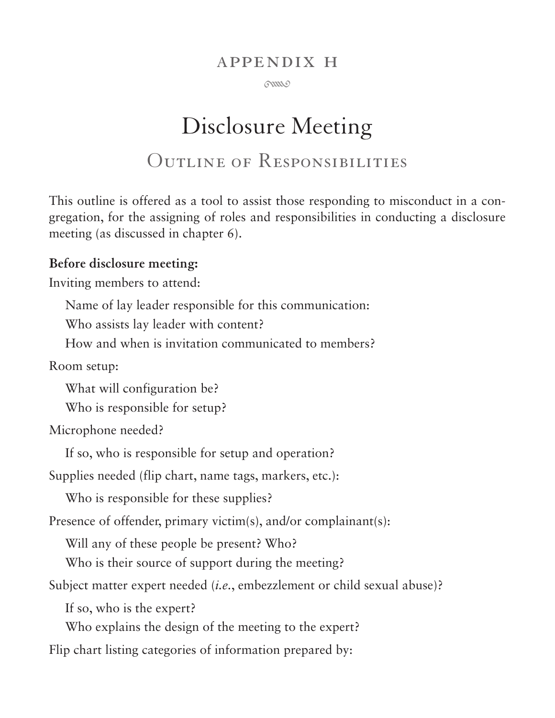#### appendix h

 $60000$ 

# Disclosure Meeting Outline of Responsibilities

This outline is offered as a tool to assist those responding to misconduct in a congregation, for the assigning of roles and responsibilities in conducting a disclosure meeting (as discussed in chapter 6).

#### **Before disclosure meeting:**

Inviting members to attend:

Name of lay leader responsible for this communication:

Who assists lay leader with content?

How and when is invitation communicated to members?

Room setup:

What will configuration be?

Who is responsible for setup?

Microphone needed?

If so, who is responsible for setup and operation?

Supplies needed (flip chart, name tags, markers, etc.):

Who is responsible for these supplies?

Presence of offender, primary victim(s), and/or complainant(s):

Will any of these people be present? Who?

Who is their source of support during the meeting?

Subject matter expert needed (*i.e.*, embezzlement or child sexual abuse)?

If so, who is the expert?

Who explains the design of the meeting to the expert?

Flip chart listing categories of information prepared by: